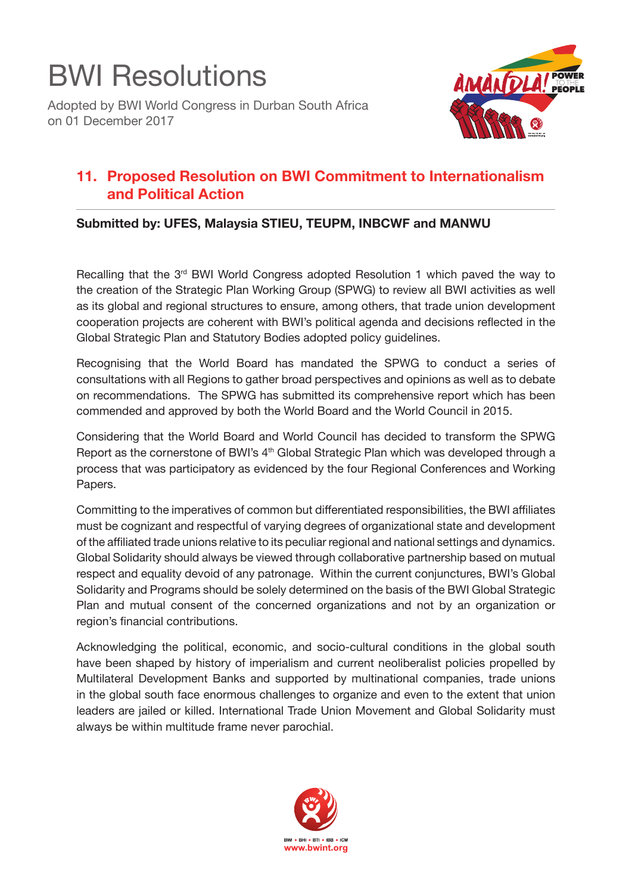

Adopted by BWI World Congress in Durban South Africa on 01 December 2017



## **11. Proposed Resolution on BWI Commitment to Internationalism and Political Action**

## **Submitted by: UFES, Malaysia STIEU, TEUPM, INBCWF and MANWU**

Recalling that the  $3<sup>rd</sup>$  BWI World Congress adopted Resolution 1 which paved the way to the creation of the Strategic Plan Working Group (SPWG) to review all BWI activities as well as its global and regional structures to ensure, among others, that trade union development cooperation projects are coherent with BWI's political agenda and decisions reflected in the Global Strategic Plan and Statutory Bodies adopted policy guidelines.

Recognising that the World Board has mandated the SPWG to conduct a series of consultations with all Regions to gather broad perspectives and opinions as well as to debate on recommendations. The SPWG has submitted its comprehensive report which has been commended and approved by both the World Board and the World Council in 2015.

Considering that the World Board and World Council has decided to transform the SPWG Report as the cornerstone of BWI's 4<sup>th</sup> Global Strategic Plan which was developed through a process that was participatory as evidenced by the four Regional Conferences and Working Papers.

Committing to the imperatives of common but differentiated responsibilities, the BWI affiliates must be cognizant and respectful of varying degrees of organizational state and development of the affiliated trade unions relative to its peculiar regional and national settings and dynamics. Global Solidarity should always be viewed through collaborative partnership based on mutual respect and equality devoid of any patronage. Within the current conjunctures, BWI's Global Solidarity and Programs should be solely determined on the basis of the BWI Global Strategic Plan and mutual consent of the concerned organizations and not by an organization or region's financial contributions.

Acknowledging the political, economic, and socio-cultural conditions in the global south have been shaped by history of imperialism and current neoliberalist policies propelled by Multilateral Development Banks and supported by multinational companies, trade unions in the global south face enormous challenges to organize and even to the extent that union leaders are jailed or killed. International Trade Union Movement and Global Solidarity must always be within multitude frame never parochial.